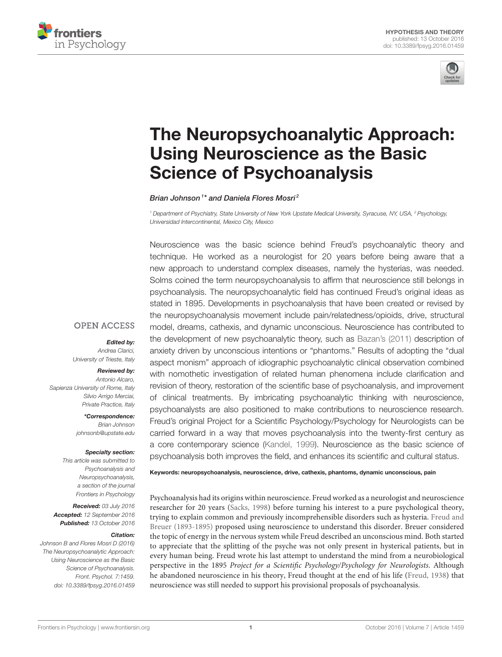



# [The Neuropsychoanalytic Approach:](http://journal.frontiersin.org/article/10.3389/fpsyg.2016.01459/abstract) Using Neuroscience as the Basic Science of Psychoanalysis

[Brian Johnson](http://loop.frontiersin.org/people/28772/overview)<sup>1\*</sup> and [Daniela Flores Mosri](http://loop.frontiersin.org/people/237928/overview)<sup>2</sup>

*<sup>1</sup> Department of Psychiatry, State University of New York Upstate Medical University, Syracuse, NY, USA, <sup>2</sup> Psychology, Universidad Intercontinental, Mexico City, Mexico*

Neuroscience was the basic science behind Freud's psychoanalytic theory and technique. He worked as a neurologist for 20 years before being aware that a new approach to understand complex diseases, namely the hysterias, was needed. Solms coined the term neuropsychoanalysis to affirm that neuroscience still belongs in psychoanalysis. The neuropsychoanalytic field has continued Freud's original ideas as stated in 1895. Developments in psychoanalysis that have been created or revised by the neuropsychoanalysis movement include pain/relatedness/opioids, drive, structural model, dreams, cathexis, and dynamic unconscious. Neuroscience has contributed to the development of new psychoanalytic theory, such as [Bazan's \(2011\)](#page-9-0) description of anxiety driven by unconscious intentions or "phantoms." Results of adopting the "dual aspect monism" approach of idiographic psychoanalytic clinical observation combined with nomothetic investigation of related human phenomena include clarification and revision of theory, restoration of the scientific base of psychoanalysis, and improvement of clinical treatments. By imbricating psychoanalytic thinking with neuroscience, psychoanalysts are also positioned to make contributions to neuroscience research. Freud's original Project for a Scientific Psychology/Psychology for Neurologists can be carried forward in a way that moves psychoanalysis into the twenty-first century as a core contemporary science [\(Kandel, 1999\)](#page-10-0). Neuroscience as the basic science of psychoanalysis both improves the field, and enhances its scientific and cultural status.

#### **OPEN ACCESS**

#### Edited by:

*Andrea Clarici, University of Trieste, Italy*

#### Reviewed by:

*Antonio Alcaro, Sapienza University of Rome, Italy Silvio Arrigo Merciai, Private Practice, Italy*

> \*Correspondence: *Brian Johnson [johnsonb@upstate.edu](mailto:johnsonb@upstate.edu)*

#### Specialty section:

*This article was submitted to Psychoanalysis and Neuropsychoanalysis, a section of the journal Frontiers in Psychology*

Received: *03 July 2016* Accepted: *12 September 2016* Published: *13 October 2016*

#### Citation:

*Johnson B and Flores Mosri D (2016) The Neuropsychoanalytic Approach: Using Neuroscience as the Basic Science of Psychoanalysis. Front. Psychol. 7:1459. doi: [10.3389/fpsyg.2016.01459](http://dx.doi.org/10.3389/fpsyg.2016.01459)* Keywords: neuropsychoanalysis, neuroscience, drive, cathexis, phantoms, dynamic unconscious, pain

Psychoanalysis had its origins within neuroscience. Freud worked as a neurologist and neuroscience researcher for 20 years [\(Sacks, 1998\)](#page-10-1) before turning his interest to a pure psychological theory, trying to explain common and previously incomprehensible disorders such as hysteria. Freud and Breuer [\(1893-1895\)](#page-10-2) proposed using neuroscience to understand this disorder. Breuer considered the topic of energy in the nervous system while Freud described an unconscious mind. Both started to appreciate that the splitting of the psyche was not only present in hysterical patients, but in every human being. Freud wrote his last attempt to understand the mind from a neurobiological perspective in the 1895 Project for a Scientific Psychology/Psychology for Neurologists. Although he abandoned neuroscience in his theory, Freud thought at the end of his life [\(Freud, 1938\)](#page-10-3) that neuroscience was still needed to support his provisional proposals of psychoanalysis.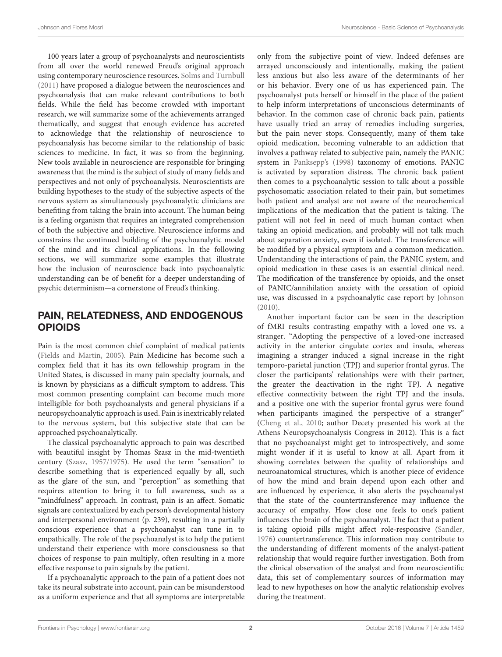100 years later a group of psychoanalysts and neuroscientists from all over the world renewed Freud's original approach using contemporary neuroscience resources. [Solms and Turnbull](#page-11-0) [\(2011\)](#page-11-0) have proposed a dialogue between the neurosciences and psychoanalysis that can make relevant contributions to both fields. While the field has become crowded with important research, we will summarize some of the achievements arranged thematically, and suggest that enough evidence has accreted to acknowledge that the relationship of neuroscience to psychoanalysis has become similar to the relationship of basic sciences to medicine. In fact, it was so from the beginning. New tools available in neuroscience are responsible for bringing awareness that the mind is the subject of study of many fields and perspectives and not only of psychoanalysis. Neuroscientists are building hypotheses to the study of the subjective aspects of the nervous system as simultaneously psychoanalytic clinicians are benefiting from taking the brain into account. The human being is a feeling organism that requires an integrated comprehension of both the subjective and objective. Neuroscience informs and constrains the continued building of the psychoanalytic model of the mind and its clinical applications. In the following sections, we will summarize some examples that illustrate how the inclusion of neuroscience back into psychoanalytic understanding can be of benefit for a deeper understanding of psychic determinism—a cornerstone of Freud's thinking.

## PAIN, RELATEDNESS, AND ENDOGENOUS OPIOIDS

Pain is the most common chief complaint of medical patients [\(Fields and Martin, 2005\)](#page-10-4). Pain Medicine has become such a complex field that it has its own fellowship program in the United States, is discussed in many pain specialty journals, and is known by physicians as a difficult symptom to address. This most common presenting complaint can become much more intelligible for both psychoanalysts and general physicians if a neuropsychoanalytic approach is used. Pain is inextricably related to the nervous system, but this subjective state that can be approached psychoanalytically.

The classical psychoanalytic approach to pain was described with beautiful insight by Thomas Szasz in the mid-twentieth century [\(Szasz, 1957/1975\)](#page-11-1). He used the term "sensation" to describe something that is experienced equally by all, such as the glare of the sun, and "perception" as something that requires attention to bring it to full awareness, such as a "mindfulness" approach. In contrast, pain is an affect. Somatic signals are contextualized by each person's developmental history and interpersonal environment (p. 239), resulting in a partially conscious experience that a psychoanalyst can tune in to empathically. The role of the psychoanalyst is to help the patient understand their experience with more consciousness so that choices of response to pain multiply, often resulting in a more effective response to pain signals by the patient.

If a psychoanalytic approach to the pain of a patient does not take its neural substrate into account, pain can be misunderstood as a uniform experience and that all symptoms are interpretable only from the subjective point of view. Indeed defenses are arrayed unconsciously and intentionally, making the patient less anxious but also less aware of the determinants of her or his behavior. Every one of us has experienced pain. The psychoanalyst puts herself or himself in the place of the patient to help inform interpretations of unconscious determinants of behavior. In the common case of chronic back pain, patients have usually tried an array of remedies including surgeries, but the pain never stops. Consequently, many of them take opioid medication, becoming vulnerable to an addiction that involves a pathway related to subjective pain, namely the PANIC system in [Panksepp's \(1998\)](#page-10-5) taxonomy of emotions. PANIC is activated by separation distress. The chronic back patient then comes to a psychoanalytic session to talk about a possible psychosomatic association related to their pain, but sometimes both patient and analyst are not aware of the neurochemical implications of the medication that the patient is taking. The patient will not feel in need of much human contact when taking an opioid medication, and probably will not talk much about separation anxiety, even if isolated. The transference will be modified by a physical symptom and a common medication. Understanding the interactions of pain, the PANIC system, and opioid medication in these cases is an essential clinical need. The modification of the transference by opioids, and the onset of PANIC/annihilation anxiety with the cessation of opioid use, was discussed in a psychoanalytic case report by [Johnson](#page-10-6) [\(2010\)](#page-10-6).

Another important factor can be seen in the description of fMRI results contrasting empathy with a loved one vs. a stranger. "Adopting the perspective of a loved-one increased activity in the anterior cingulate cortex and insula, whereas imagining a stranger induced a signal increase in the right temporo-parietal junction (TPJ) and superior frontal gyrus. The closer the participants' relationships were with their partner, the greater the deactivation in the right TPJ. A negative effective connectivity between the right TPJ and the insula, and a positive one with the superior frontal gyrus were found when participants imagined the perspective of a stranger" [\(Cheng et al., 2010;](#page-9-1) author Decety presented his work at the Athens Neuropsychoanalysis Congress in 2012). This is a fact that no psychoanalyst might get to introspectively, and some might wonder if it is useful to know at all. Apart from it showing correlates between the quality of relationships and neuroanatomical structures, which is another piece of evidence of how the mind and brain depend upon each other and are influenced by experience, it also alerts the psychoanalyst that the state of the countertransference may influence the accuracy of empathy. How close one feels to one's patient influences the brain of the psychoanalyst. The fact that a patient is taking opioid pills might affect role-responsive [\(Sandler,](#page-10-7) [1976\)](#page-10-7) countertransference. This information may contribute to the understanding of different moments of the analyst-patient relationship that would require further investigation. Both from the clinical observation of the analyst and from neuroscientific data, this set of complementary sources of information may lead to new hypotheses on how the analytic relationship evolves during the treatment.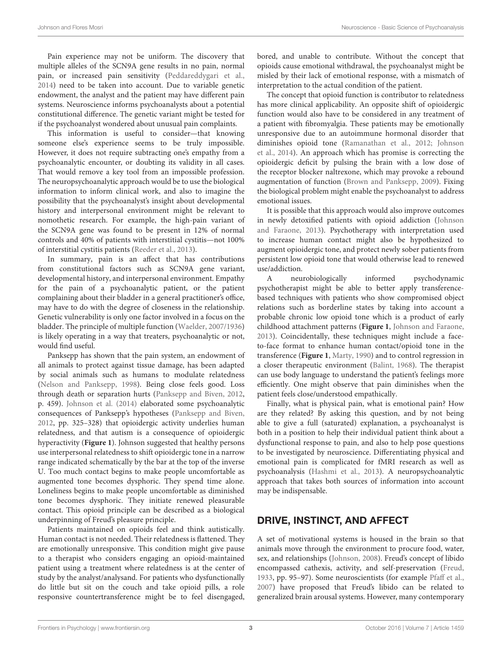Pain experience may not be uniform. The discovery that multiple alleles of the SCN9A gene results in no pain, normal pain, or increased pain sensitivity [\(Peddareddygari et al.,](#page-10-8) [2014\)](#page-10-8) need to be taken into account. Due to variable genetic endowment, the analyst and the patient may have different pain systems. Neuroscience informs psychoanalysts about a potential constitutional difference. The genetic variant might be tested for if the psychoanalyst wondered about unusual pain complaints.

This information is useful to consider—that knowing someone else's experience seems to be truly impossible. However, it does not require subtracting one's empathy from a psychoanalytic encounter, or doubting its validity in all cases. That would remove a key tool from an impossible profession. The neuropsychoanalytic approach would be to use the biological information to inform clinical work, and also to imagine the possibility that the psychoanalyst's insight about developmental history and interpersonal environment might be relevant to nomothetic research. For example, the high-pain variant of the SCN9A gene was found to be present in 12% of normal controls and 40% of patients with interstitial cystitis—not 100% of interstitial cystitis patients [\(Reeder et al., 2013\)](#page-10-9).

In summary, pain is an affect that has contributions from constitutional factors such as SCN9A gene variant, developmental history, and interpersonal environment. Empathy for the pain of a psychoanalytic patient, or the patient complaining about their bladder in a general practitioner's office, may have to do with the degree of closeness in the relationship. Genetic vulnerability is only one factor involved in a focus on the bladder. The principle of multiple function [\(Waelder, 2007/1936\)](#page-11-2) is likely operating in a way that treaters, psychoanalytic or not, would find useful.

Panksepp has shown that the pain system, an endowment of all animals to protect against tissue damage, has been adapted by social animals such as humans to modulate relatedness [\(Nelson and Panksepp, 1998\)](#page-10-10). Being close feels good. Loss through death or separation hurts [\(Panksepp and Biven, 2012,](#page-10-11) p. 459). [Johnson et al. \(2014\)](#page-10-12) elaborated some psychoanalytic consequences of Panksepp's hypotheses [\(Panksepp and Biven,](#page-10-11) [2012,](#page-10-11) pp. 325–328) that opioidergic activity underlies human relatedness, and that autism is a consequence of opioidergic hyperactivity (**[Figure 1](#page-3-0)**). Johnson suggested that healthy persons use interpersonal relatedness to shift opioidergic tone in a narrow range indicated schematically by the bar at the top of the inverse U. Too much contact begins to make people uncomfortable as augmented tone becomes dysphoric. They spend time alone. Loneliness begins to make people uncomfortable as diminished tone becomes dysphoric. They initiate renewed pleasurable contact. This opioid principle can be described as a biological underpinning of Freud's pleasure principle.

Patients maintained on opioids feel and think autistically. Human contact is not needed. Their relatedness is flattened. They are emotionally unresponsive. This condition might give pause to a therapist who considers engaging an opioid-maintained patient using a treatment where relatedness is at the center of study by the analyst/analysand. For patients who dysfunctionally do little but sit on the couch and take opioid pills, a role responsive countertransference might be to feel disengaged, bored, and unable to contribute. Without the concept that opioids cause emotional withdrawal, the psychoanalyst might be misled by their lack of emotional response, with a mismatch of interpretation to the actual condition of the patient.

The concept that opioid function is contributor to relatedness has more clinical applicability. An opposite shift of opioidergic function would also have to be considered in any treatment of a patient with fibromyalgia. These patients may be emotionally unresponsive due to an autoimmune hormonal disorder that diminishes opioid tone [\(Ramanathan et al., 2012;](#page-10-13) Johnson et al., [2014\)](#page-10-12). An approach which has promise is correcting the opioidergic deficit by pulsing the brain with a low dose of the receptor blocker naltrexone, which may provoke a rebound augmentation of function [\(Brown and Panksepp, 2009\)](#page-9-2). Fixing the biological problem might enable the psychoanalyst to address emotional issues.

It is possible that this approach would also improve outcomes in newly detoxified patients with opioid addiction (Johnson and Faraone, [2013\)](#page-10-14). Psychotherapy with interpretation used to increase human contact might also be hypothesized to augment opioidergic tone, and protect newly sober patients from persistent low opioid tone that would otherwise lead to renewed use/addiction.

A neurobiologically informed psychodynamic psychotherapist might be able to better apply transferencebased techniques with patients who show compromised object relations such as borderline states by taking into account a probable chronic low opioid tone which is a product of early childhood attachment patterns (**[Figure 1](#page-3-0)**, [Johnson and Faraone,](#page-10-14) [2013\)](#page-10-14). Coincidentally, these techniques might include a faceto-face format to enhance human contact/opioid tone in the transference (**[Figure 1](#page-3-0)**, [Marty, 1990\)](#page-10-15) and to control regression in a closer therapeutic environment [\(Balint, 1968\)](#page-9-3). The therapist can use body language to understand the patient's feelings more efficiently. One might observe that pain diminishes when the patient feels close/understood empathically.

Finally, what is physical pain, what is emotional pain? How are they related? By asking this question, and by not being able to give a full (saturated) explanation, a psychoanalyst is both in a position to help their individual patient think about a dysfunctional response to pain, and also to help pose questions to be investigated by neuroscience. Differentiating physical and emotional pain is complicated for fMRI research as well as psychoanalysis [\(Hashmi et al., 2013\)](#page-10-16). A neuropsychoanalytic approach that takes both sources of information into account may be indispensable.

## DRIVE, INSTINCT, AND AFFECT

A set of motivational systems is housed in the brain so that animals move through the environment to procure food, water, sex, and relationships [\(Johnson, 2008\)](#page-10-17). Freud's concept of libido encompassed cathexis, activity, and self-preservation [\(Freud,](#page-10-18) [1933,](#page-10-18) pp. 95–97). Some neuroscientists (for example [Pfaff et al.,](#page-10-19) [2007\)](#page-10-19) have proposed that Freud's libido can be related to generalized brain arousal systems. However, many contemporary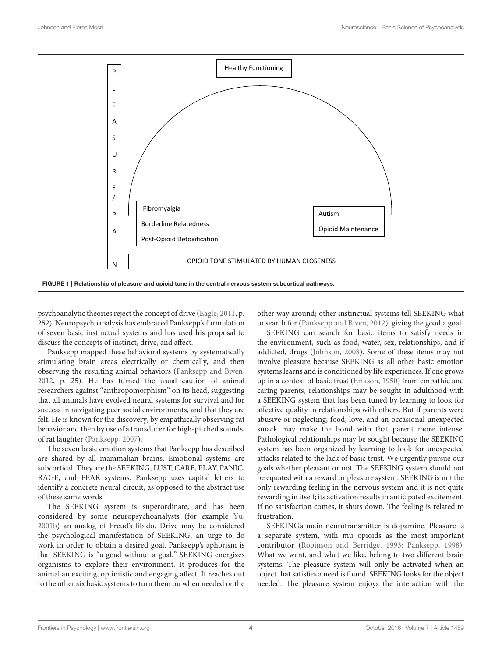

<span id="page-3-0"></span>psychoanalytic theories reject the concept of drive [\(Eagle, 2011,](#page-10-20) p. 252). Neuropsychoanalysis has embraced Panksepp's formulation of seven basic instinctual systems and has used his proposal to discuss the concepts of instinct, drive, and affect.

Panksepp mapped these behavioral systems by systematically stimulating brain areas electrically or chemically, and then observing the resulting animal behaviors [\(Panksepp and Biven,](#page-10-11) [2012,](#page-10-11) p. 25). He has turned the usual caution of animal researchers against "anthropomorphism" on its head, suggesting that all animals have evolved neural systems for survival and for success in navigating peer social environments, and that they are felt. He is known for the discovery, by empathically observing rat behavior and then by use of a transducer for high-pitched sounds, of rat laughter [\(Panksepp, 2007\)](#page-10-21).

The seven basic emotion systems that Panksepp has described are shared by all mammalian brains. Emotional systems are subcortical. They are the SEEKING, LUST, CARE, PLAY, PANIC, RAGE, and FEAR systems. Panksepp uses capital letters to identify a concrete neural circuit, as opposed to the abstract use of these same words.

The SEEKING system is superordinate, and has been considered by some neuropsychoanalysts (for example [Yu,](#page-11-3) [2001b\)](#page-11-3) an analog of Freud's libido. Drive may be considered the psychological manifestation of SEEKING, an urge to do work in order to obtain a desired goal. Panksepp's aphorism is that SEEKING is "a goad without a goal." SEEKING energizes organisms to explore their environment. It produces for the animal an exciting, optimistic and engaging affect. It reaches out to the other six basic systems to turn them on when needed or the other way around; other instinctual systems tell SEEKING what to search for [\(Panksepp and Biven, 2012\)](#page-10-11); giving the goad a goal.

SEEKING can search for basic items to satisfy needs in the environment, such as food, water, sex, relationships, and if addicted, drugs [\(Johnson, 2008\)](#page-10-17). Some of these items may not involve pleasure because SEEKING as all other basic emotion systems learns and is conditioned by life experiences. If one grows up in a context of basic trust [\(Erikson, 1950\)](#page-10-22) from empathic and caring parents, relationships may be sought in adulthood with a SEEKING system that has been tuned by learning to look for affective quality in relationships with others. But if parents were abusive or neglecting, food, love, and an occasional unexpected smack may make the bond with that parent more intense. Pathological relationships may be sought because the SEEKING system has been organized by learning to look for unexpected attacks related to the lack of basic trust. We urgently pursue our goals whether pleasant or not. The SEEKING system should not be equated with a reward or pleasure system. SEEKING is not the only rewarding feeling in the nervous system and it is not quite rewarding in itself; its activation results in anticipated excitement. If no satisfaction comes, it shuts down. The feeling is related to frustration.

SEEKING's main neurotransmitter is dopamine. Pleasure is a separate system, with mu opioids as the most important contributor [\(Robinson and Berridge, 1993;](#page-10-23) [Panksepp, 1998\)](#page-10-5). What we want, and what we like, belong to two different brain systems. The pleasure system will only be activated when an object that satisfies a need is found. SEEKING looks for the object needed. The pleasure system enjoys the interaction with the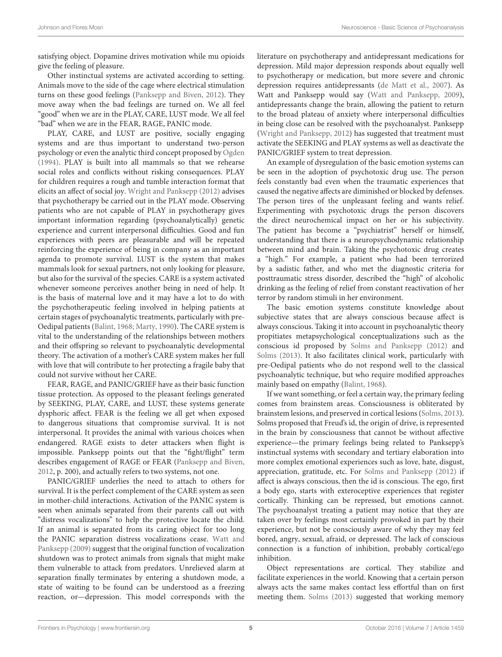satisfying object. Dopamine drives motivation while mu opioids give the feeling of pleasure.

Other instinctual systems are activated according to setting. Animals move to the side of the cage where electrical stimulation turns on these good feelings [\(Panksepp and Biven, 2012\)](#page-10-11). They move away when the bad feelings are turned on. We all feel "good" when we are in the PLAY, CARE, LUST mode. We all feel "bad" when we are in the FEAR, RAGE, PANIC mode.

PLAY, CARE, and LUST are positive, socially engaging systems and are thus important to understand two-person psychology or even the analytic third concept proposed by [Ogden](#page-10-24) [\(1994\)](#page-10-24). PLAY is built into all mammals so that we rehearse social roles and conflicts without risking consequences. PLAY for children requires a rough and tumble interaction format that elicits an affect of social joy. [Wright and Panksepp \(2012\)](#page-11-4) advises that psychotherapy be carried out in the PLAY mode. Observing patients who are not capable of PLAY in psychotherapy gives important information regarding (psychoanalytically) genetic experience and current interpersonal difficulties. Good and fun experiences with peers are pleasurable and will be repeated reinforcing the experience of being in company as an important agenda to promote survival. LUST is the system that makes mammals look for sexual partners, not only looking for pleasure, but also for the survival of the species. CARE is a system activated whenever someone perceives another being in need of help. It is the basis of maternal love and it may have a lot to do with the psychotherapeutic feeling involved in helping patients at certain stages of psychoanalytic treatments, particularly with pre-Oedipal patients [\(Balint, 1968;](#page-9-3) [Marty, 1990\)](#page-10-15). The CARE system is vital to the understanding of the relationships between mothers and their offspring so relevant to psychoanalytic developmental theory. The activation of a mother's CARE system makes her full with love that will contribute to her protecting a fragile baby that could not survive without her CARE.

FEAR, RAGE, and PANIC/GRIEF have as their basic function tissue protection. As opposed to the pleasant feelings generated by SEEKING, PLAY, CARE, and LUST, these systems generate dysphoric affect. FEAR is the feeling we all get when exposed to dangerous situations that compromise survival. It is not interpersonal. It provides the animal with various choices when endangered. RAGE exists to deter attackers when flight is impossible. Panksepp points out that the "fight/flight" term describes engagement of RAGE or FEAR [\(Panksepp and Biven,](#page-10-11) [2012,](#page-10-11) p. 200), and actually refers to two systems, not one.

PANIC/GRIEF underlies the need to attach to others for survival. It is the perfect complement of the CARE system as seen in mother-child interactions. Activation of the PANIC system is seen when animals separated from their parents call out with "distress vocalizations" to help the protective locate the child. If an animal is separated from its caring object for too long the PANIC separation distress vocalizations cease. Watt and Panksepp [\(2009\)](#page-11-5) suggest that the original function of vocalization shutdown was to protect animals from signals that might make them vulnerable to attack from predators. Unrelieved alarm at separation finally terminates by entering a shutdown mode, a state of waiting to be found can be understood as a freezing reaction, or—depression. This model corresponds with the literature on psychotherapy and antidepressant medications for depression. Mild major depression responds about equally well to psychotherapy or medication, but more severe and chronic depression requires antidepressants [\(de Matt et al., 2007\)](#page-10-25). As Watt and Panksepp would say [\(Watt and Panksepp, 2009\)](#page-11-5), antidepressants change the brain, allowing the patient to return to the broad plateau of anxiety where interpersonal difficulties in being close can be resolved with the psychoanalyst. Panksepp [\(Wright and Panksepp, 2012\)](#page-11-4) has suggested that treatment must activate the SEEKING and PLAY systems as well as deactivate the PANIC/GRIEF system to treat depression.

An example of dysregulation of the basic emotion systems can be seen in the adoption of psychotoxic drug use. The person feels constantly bad even when the traumatic experiences that caused the negative affects are diminished or blocked by defenses. The person tires of the unpleasant feeling and wants relief. Experimenting with psychotoxic drugs the person discovers the direct neurochemical impact on her or his subjectivity. The patient has become a "psychiatrist" herself or himself, understanding that there is a neuropsychodynamic relationship between mind and brain. Taking the psychotoxic drug creates a "high." For example, a patient who had been terrorized by a sadistic father, and who met the diagnostic criteria for posttraumatic stress disorder, described the "high" of alcoholic drinking as the feeling of relief from constant reactivation of her terror by random stimuli in her environment.

The basic emotion systems constitute knowledge about subjective states that are always conscious because affect is always conscious. Taking it into account in psychoanalytic theory propitiates metapsychological conceptualizations such as the conscious id proposed by [Solms and Panksepp \(2012\)](#page-11-6) and [Solms \(2013\)](#page-10-26). It also facilitates clinical work, particularly with pre-Oedipal patients who do not respond well to the classical psychoanalytic technique, but who require modified approaches mainly based on empathy [\(Balint, 1968\)](#page-9-3).

If we want something, or feel a certain way, the primary feeling comes from brainstem areas. Consciousness is obliterated by brainstem lesions, and preserved in cortical lesions [\(Solms, 2013\)](#page-10-26). Solms proposed that Freud's id, the origin of drive, is represented in the brain by consciousness that cannot be without affective experience—the primary feelings being related to Panksepp's instinctual systems with secondary and tertiary elaboration into more complex emotional experiences such as love, hate, disgust, appreciation, gratitude, etc. For [Solms and Panksepp \(2012\)](#page-11-6) if affect is always conscious, then the id is conscious. The ego, first a body ego, starts with exteroceptive experiences that register cortically. Thinking can be repressed, but emotions cannot. The psychoanalyst treating a patient may notice that they are taken over by feelings most certainly provoked in part by their experience, but not be consciously aware of why they may feel bored, angry, sexual, afraid, or depressed. The lack of conscious connection is a function of inhibition, probably cortical/ego inhibition.

Object representations are cortical. They stabilize and facilitate experiences in the world. Knowing that a certain person always acts the same makes contact less effortful than on first meeting them. [Solms \(2013\)](#page-10-26) suggested that working memory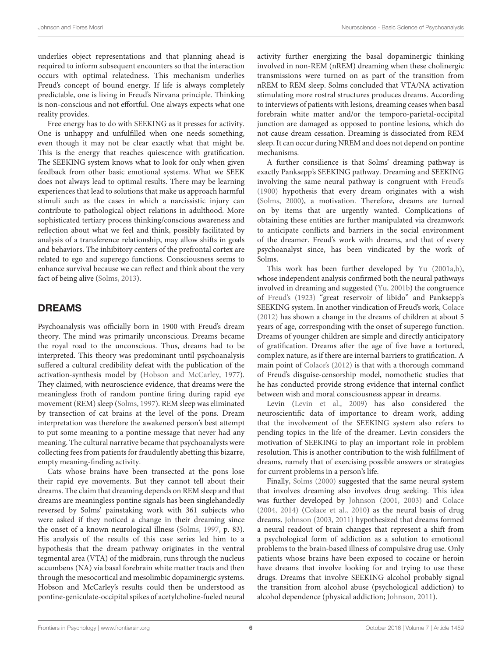underlies object representations and that planning ahead is required to inform subsequent encounters so that the interaction occurs with optimal relatedness. This mechanism underlies Freud's concept of bound energy. If life is always completely predictable, one is living in Freud's Nirvana principle. Thinking is non-conscious and not effortful. One always expects what one reality provides.

Free energy has to do with SEEKING as it presses for activity. One is unhappy and unfulfilled when one needs something, even though it may not be clear exactly what that might be. This is the energy that reaches quiescence with gratification. The SEEKING system knows what to look for only when given feedback from other basic emotional systems. What we SEEK does not always lead to optimal results. There may be learning experiences that lead to solutions that make us approach harmful stimuli such as the cases in which a narcissistic injury can contribute to pathological object relations in adulthood. More sophisticated tertiary process thinking/conscious awareness and reflection about what we feel and think, possibly facilitated by analysis of a transference relationship, may allow shifts in goals and behaviors. The inhibitory centers of the prefrontal cortex are related to ego and superego functions. Consciousness seems to enhance survival because we can reflect and think about the very fact of being alive [\(Solms, 2013\)](#page-10-26).

#### DREAMS

Psychoanalysis was officially born in 1900 with Freud's dream theory. The mind was primarily unconscious. Dreams became the royal road to the unconscious. Thus, dreams had to be interpreted. This theory was predominant until psychoanalysis suffered a cultural credibility defeat with the publication of the activation-synthesis model by [\(Hobson and McCarley, 1977\)](#page-10-27). They claimed, with neuroscience evidence, that dreams were the meaningless froth of random pontine firing during rapid eye movement (REM) sleep [\(Solms, 1997\)](#page-10-28). REM sleep was eliminated by transection of cat brains at the level of the pons. Dream interpretation was therefore the awakened person's best attempt to put some meaning to a pontine message that never had any meaning. The cultural narrative became that psychoanalysts were collecting fees from patients for fraudulently abetting this bizarre, empty meaning-finding activity.

Cats whose brains have been transected at the pons lose their rapid eye movements. But they cannot tell about their dreams. The claim that dreaming depends on REM sleep and that dreams are meaningless pontine signals has been singlehandedly reversed by Solms' painstaking work with 361 subjects who were asked if they noticed a change in their dreaming since the onset of a known neurological illness [\(Solms, 1997,](#page-10-28) p. 83). His analysis of the results of this case series led him to a hypothesis that the dream pathway originates in the ventral tegmental area (VTA) of the midbrain, runs through the nucleus accumbens (NA) via basal forebrain white matter tracts and then through the mesocortical and mesolimbic dopaminergic systems. Hobson and McCarley's results could then be understood as pontine-geniculate-occipital spikes of acetylcholine-fueled neural activity further energizing the basal dopaminergic thinking involved in non-REM (nREM) dreaming when these cholinergic transmissions were turned on as part of the transition from nREM to REM sleep. Solms concluded that VTA/NA activation stimulating more rostral structures produces dreams. According to interviews of patients with lesions, dreaming ceases when basal forebrain white matter and/or the temporo-parietal-occipital junction are damaged as opposed to pontine lesions, which do not cause dream cessation. Dreaming is dissociated from REM sleep. It can occur during NREM and does not depend on pontine mechanisms.

A further consilience is that Solms' dreaming pathway is exactly Panksepp's SEEKING pathway. Dreaming and SEEKING involving the same neural pathway is congruent with [Freud's](#page-10-29) [\(1900\)](#page-10-29) hypothesis that every dream originates with a wish [\(Solms, 2000\)](#page-10-30), a motivation. Therefore, dreams are turned on by items that are urgently wanted. Complications of obtaining these entities are further manipulated via dreamwork to anticipate conflicts and barriers in the social environment of the dreamer. Freud's work with dreams, and that of every psychoanalyst since, has been vindicated by the work of Solms.

This work has been further developed by [Yu \(2001a](#page-11-7)[,b\)](#page-11-3), whose independent analysis confirmed both the neural pathways involved in dreaming and suggested [\(Yu, 2001b\)](#page-11-3) the congruence of [Freud's \(1923\)](#page-10-31) "great reservoir of libido" and Panksepp's SEEKING system. In another vindication of Freud's work, [Colace](#page-9-4) [\(2012\)](#page-9-4) has shown a change in the dreams of children at about 5 years of age, corresponding with the onset of superego function. Dreams of younger children are simple and directly anticipatory of gratification. Dreams after the age of five have a tortured, complex nature, as if there are internal barriers to gratification. A main point of [Colace's \(2012\)](#page-9-4) is that with a thorough command of Freud's disguise-censorship model, nomothetic studies that he has conducted provide strong evidence that internal conflict between wish and moral consciousness appear in dreams.

Levin [\(Levin et al., 2009\)](#page-10-32) has also considered the neuroscientific data of importance to dream work, adding that the involvement of the SEEKING system also refers to pending topics in the life of the dreamer. Levin considers the motivation of SEEKING to play an important role in problem resolution. This is another contribution to the wish fulfillment of dreams, namely that of exercising possible answers or strategies for current problems in a person's life.

Finally, [Solms \(2000\)](#page-10-30) suggested that the same neural system that involves dreaming also involves drug seeking. This idea was further developed by [Johnson \(2001,](#page-10-33) [2003\)](#page-10-34) and [Colace](#page-9-5) [\(2004,](#page-9-5) [2014\)](#page-9-6) [\(Colace et al., 2010\)](#page-9-7) as the neural basis of drug dreams. [Johnson \(2003,](#page-10-34) [2011\)](#page-10-35) hypothesized that dreams formed a neural readout of brain changes that represent a shift from a psychological form of addiction as a solution to emotional problems to the brain-based illness of compulsive drug use. Only patients whose brains have been exposed to cocaine or heroin have dreams that involve looking for and trying to use these drugs. Dreams that involve SEEKING alcohol probably signal the transition from alcohol abuse (psychological addiction) to alcohol dependence (physical addiction; [Johnson, 2011\)](#page-10-35).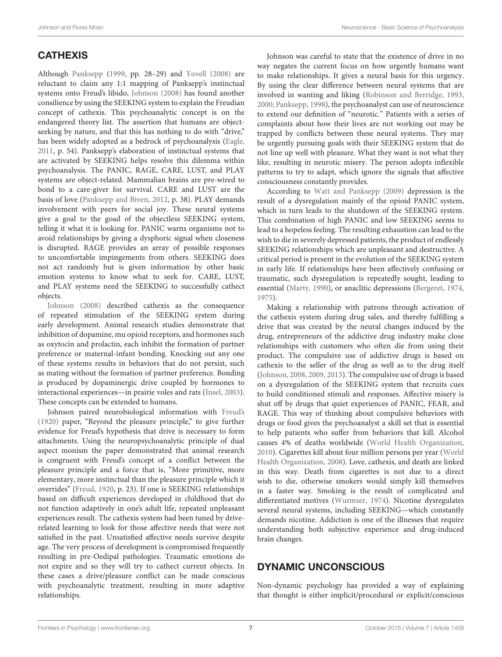## **CATHEXIS**

Although [Panksepp](#page-10-36) [\(1999,](#page-10-36) pp. 28–29) and [Yovell \(2008\)](#page-11-8) are reluctant to claim any 1:1 mapping of Panksepp's instinctual systems onto Freud's libido, [Johnson \(2008\)](#page-10-17) has found another consilience by using the SEEKING system to explain the Freudian concept of cathexis. This psychoanalytic concept is on the endangered theory list. The assertion that humans are objectseeking by nature, and that this has nothing to do with "drive," has been widely adopted as a bedrock of psychoanalysis [\(Eagle,](#page-10-20) [2011,](#page-10-20) p. 54). Panksepp's elaboration of instinctual systems that are activated by SEEKING helps resolve this dilemma within psychoanalysis. The PANIC, RAGE, CARE, LUST, and PLAY systems are object-related. Mammalian brains are pre-wired to bond to a care-giver for survival. CARE and LUST are the basis of love [\(Panksepp and Biven, 2012,](#page-10-11) p. 38). PLAY demands involvement with peers for social joy. These neural systems give a goal to the goad of the objectless SEEKING system, telling it what it is looking for. PANIC warns organisms not to avoid relationships by giving a dysphoric signal when closeness is disrupted. RAGE provides an array of possible responses to uncomfortable impingements from others. SEEKING does not act randomly but is given information by other basic emotion systems to know what to seek for. CARE, LUST, and PLAY systems need the SEEKING to successfully cathect objects.

[Johnson \(2008\)](#page-10-17) described cathexis as the consequence of repeated stimulation of the SEEKING system during early development. Animal research studies demonstrate that inhibition of dopamine, mu opioid receptors, and hormones such as oxytocin and prolactin, each inhibit the formation of partner preference or maternal-infant bonding. Knocking out any one of these systems results in behaviors that do not persist, such as mating without the formation of partner preference. Bonding is produced by dopaminergic drive coupled by hormones to interactional experiences—in prairie voles and rats [\(Insel, 2003\)](#page-10-37). These concepts can be extended to humans.

Johnson paired neurobiological information with [Freud's](#page-10-38) [\(1920\)](#page-10-38) paper, "Beyond the pleasure principle," to give further evidence for Freud's hypothesis that drive is necessary to form attachments. Using the neuropsychoanalytic principle of dual aspect monism the paper demonstrated that animal research is congruent with Freud's concept of a conflict between the pleasure principle and a force that is, "More primitive, more elementary, more instinctual than the pleasure principle which it overrides" [\(Freud, 1920,](#page-10-38) p. 23). If one is SEEKING relationships based on difficult experiences developed in childhood that do not function adaptively in one's adult life, repeated unpleasant experiences result. The cathexis system had been tuned by driverelated learning to look for those affective needs that were not satisfied in the past. Unsatisfied affective needs survive despite age. The very process of development is compromised frequently resulting in pre-Oedipal pathologies. Traumatic emotions do not expire and so they will try to cathect current objects. In these cases a drive/pleasure conflict can be made conscious with psychoanalytic treatment, resulting in more adaptive relationships.

Johnson was careful to state that the existence of drive in no way negates the current focus on how urgently humans want to make relationships. It gives a neural basis for this urgency. By using the clear difference between neural systems that are involved in wanting and liking [\(Robinson and Berridge, 1993,](#page-10-23) [2000;](#page-10-39) [Panksepp, 1998\)](#page-10-5), the psychoanalyst can use of neuroscience to extend our definition of "neurotic." Patients with a series of complaints about how their lives are not working out may be trapped by conflicts between these neural systems. They may be urgently pursuing goals with their SEEKING system that do not line up well with pleasure. What they want is not what they like, resulting in neurotic misery. The person adopts inflexible patterns to try to adapt, which ignore the signals that affective consciousness constantly provides.

According to [Watt and Panksepp \(2009\)](#page-11-5) depression is the result of a dysregulation mainly of the opioid PANIC system, which in turn leads to the shutdown of the SEEKING system. This combination of high PANIC and low SEEKING seems to lead to a hopeless feeling. The resulting exhaustion can lead to the wish to die in severely depressed patients, the product of endlessly SEEKING relationships which are unpleasant and destructive. A critical period is present in the evolution of the SEEKING system in early life. If relationships have been affectively confusing or traumatic, such dysregulation is repeatedly sought, leading to essential [\(Marty, 1990\)](#page-10-15), or anaclitic depressions [\(Bergeret, 1974,](#page-9-8) [1975\)](#page-9-9).

Making a relationship with patrons through activation of the cathexis system during drug sales, and thereby fulfilling a drive that was created by the neural changes induced by the drug, entrepreneurs of the addictive drug industry make close relationships with customers who often die from using their product. The compulsive use of addictive drugs is based on cathexis to the seller of the drug as well as to the drug itself [\(Johnson, 2008,](#page-10-17) [2009,](#page-10-40) [2013\)](#page-10-41). The compulsive use of drugs is based on a dysregulation of the SEEKING system that recruits cues to build conditioned stimuli and responses. Affective misery is shut off by drugs that quiet experiences of PANIC, FEAR, and RAGE. This way of thinking about compulsive behaviors with drugs or food gives the psychoanalyst a skill set that is essential to help patients who suffer from behaviors that kill. Alcohol causes 4% of deaths worldwide [\(World Health Organization,](#page-11-9) [2010\)](#page-11-9). Cigarettes kill about four million persons per year (World Health Organization, [2008\)](#page-11-10). Love, cathexis, and death are linked in this way. Death from cigarettes is not due to a direct wish to die, otherwise smokers would simply kill themselves in a faster way. Smoking is the result of complicated and differentiated motives [\(Wurmser, 1974\)](#page-11-11). Nicotine dysregulates several neural systems, including SEEKING—which constantly demands nicotine. Addiction is one of the illnesses that require understanding both subjective experience and drug-induced brain changes.

## DYNAMIC UNCONSCIOUS

Non-dynamic psychology has provided a way of explaining that thought is either implicit/procedural or explicit/conscious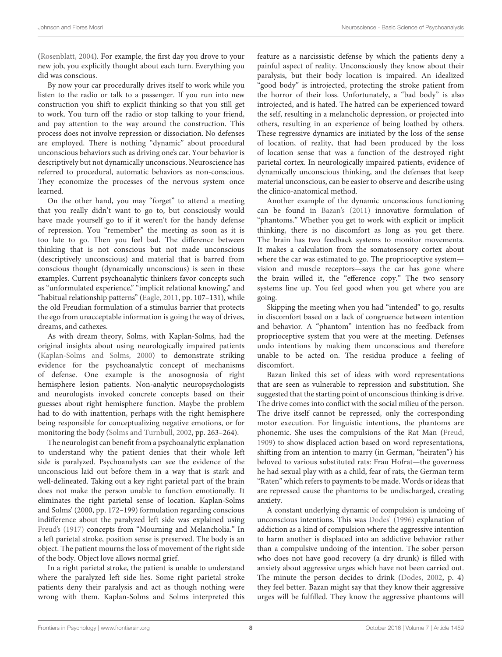[\(Rosenblatt, 2004\)](#page-10-42). For example, the first day you drove to your new job, you explicitly thought about each turn. Everything you did was conscious.

By now your car procedurally drives itself to work while you listen to the radio or talk to a passenger. If you run into new construction you shift to explicit thinking so that you still get to work. You turn off the radio or stop talking to your friend, and pay attention to the way around the construction. This process does not involve repression or dissociation. No defenses are employed. There is nothing "dynamic" about procedural unconscious behaviors such as driving one's car. Your behavior is descriptively but not dynamically unconscious. Neuroscience has referred to procedural, automatic behaviors as non-conscious. They economize the processes of the nervous system once learned.

On the other hand, you may "forget" to attend a meeting that you really didn't want to go to, but consciously would have made yourself go to if it weren't for the handy defense of repression. You "remember" the meeting as soon as it is too late to go. Then you feel bad. The difference between thinking that is not conscious but not made unconscious (descriptively unconscious) and material that is barred from conscious thought (dynamically unconscious) is seen in these examples. Current psychoanalytic thinkers favor concepts such as "unformulated experience," "implicit relational knowing," and "habitual relationship patterns" [\(Eagle, 2011,](#page-10-20) pp. 107–131), while the old Freudian formulation of a stimulus barrier that protects the ego from unacceptable information is going the way of drives, dreams, and cathexes.

As with dream theory, Solms, with Kaplan-Solms, had the original insights about using neurologically impaired patients [\(Kaplan-Solms and Solms, 2000\)](#page-10-43) to demonstrate striking evidence for the psychoanalytic concept of mechanisms of defense. One example is the anosognosia of right hemisphere lesion patients. Non-analytic neuropsychologists and neurologists invoked concrete concepts based on their guesses about right hemisphere function. Maybe the problem had to do with inattention, perhaps with the right hemisphere being responsible for conceptualizing negative emotions, or for monitoring the body [\(Solms and Turnbull, 2002,](#page-11-12) pp. 263–264).

The neurologist can benefit from a psychoanalytic explanation to understand why the patient denies that their whole left side is paralyzed. Psychoanalysts can see the evidence of the unconscious laid out before them in a way that is stark and well-delineated. Taking out a key right parietal part of the brain does not make the person unable to function emotionally. It eliminates the right parietal sense of location. Kaplan-Solms and Solms' (2000, pp. 172–199) formulation regarding conscious indifference about the paralyzed left side was explained using [Freud's \(1917\)](#page-10-44) concepts from "Mourning and Melancholia." In a left parietal stroke, position sense is preserved. The body is an object. The patient mourns the loss of movement of the right side of the body. Object love allows normal grief.

In a right parietal stroke, the patient is unable to understand where the paralyzed left side lies. Some right parietal stroke patients deny their paralysis and act as though nothing were wrong with them. Kaplan-Solms and Solms interpreted this feature as a narcissistic defense by which the patients deny a painful aspect of reality. Unconsciously they know about their paralysis, but their body location is impaired. An idealized "good body" is introjected, protecting the stroke patient from the horror of their loss. Unfortunately, a "bad body" is also introjected, and is hated. The hatred can be experienced toward the self, resulting in a melancholic depression, or projected into others, resulting in an experience of being loathed by others. These regressive dynamics are initiated by the loss of the sense of location, of reality, that had been produced by the loss of location sense that was a function of the destroyed right parietal cortex. In neurologically impaired patients, evidence of dynamically unconscious thinking, and the defenses that keep material unconscious, can be easier to observe and describe using the clinico-anatomical method.

Another example of the dynamic unconscious functioning can be found in [Bazan's \(2011\)](#page-9-0) innovative formulation of "phantoms." Whether you get to work with explicit or implicit thinking, there is no discomfort as long as you get there. The brain has two feedback systems to monitor movements. It makes a calculation from the somatosensory cortex about where the car was estimated to go. The proprioceptive system vision and muscle receptors—says the car has gone where the brain willed it, the "efference copy." The two sensory systems line up. You feel good when you get where you are going.

Skipping the meeting when you had "intended" to go, results in discomfort based on a lack of congruence between intention and behavior. A "phantom" intention has no feedback from proprioceptive system that you were at the meeting. Defenses undo intentions by making them unconscious and therefore unable to be acted on. The residua produce a feeling of discomfort.

Bazan linked this set of ideas with word representations that are seen as vulnerable to repression and substitution. She suggested that the starting point of unconscious thinking is drive. The drive comes into conflict with the social milieu of the person. The drive itself cannot be repressed, only the corresponding motor execution. For linguistic intentions, the phantoms are phonemic. She uses the compulsions of the Rat Man [\(Freud,](#page-10-45) [1909\)](#page-10-45) to show displaced action based on word representations, shifting from an intention to marry (in German, "heiraten") his beloved to various substituted rats: Frau Hofrat—the governess he had sexual play with as a child, fear of rats, the German term "Raten" which refers to payments to be made. Words or ideas that are repressed cause the phantoms to be undischarged, creating anxiety.

A constant underlying dynamic of compulsion is undoing of unconscious intentions. This was [Dodes' \(1996\)](#page-10-46) explanation of addiction as a kind of compulsion where the aggressive intention to harm another is displaced into an addictive behavior rather than a compulsive undoing of the intention. The sober person who does not have good recovery (a dry drunk) is filled with anxiety about aggressive urges which have not been carried out. The minute the person decides to drink [\(Dodes, 2002,](#page-10-47) p. 4) they feel better. Bazan might say that they know their aggressive urges will be fulfilled. They know the aggressive phantoms will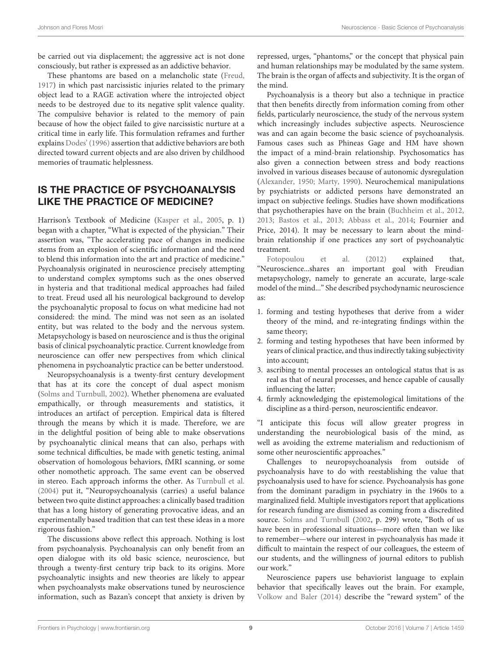be carried out via displacement; the aggressive act is not done consciously, but rather is expressed as an addictive behavior.

These phantoms are based on a melancholic state [\(Freud,](#page-10-44) [1917\)](#page-10-44) in which past narcissistic injuries related to the primary object lead to a RAGE activation where the introjected object needs to be destroyed due to its negative split valence quality. The compulsive behavior is related to the memory of pain because of how the object failed to give narcissistic nurture at a critical time in early life. This formulation reframes and further explains [Dodes' \(1996\)](#page-10-46) assertion that addictive behaviors are both directed toward current objects and are also driven by childhood memories of traumatic helplessness.

## IS THE PRACTICE OF PSYCHOANALYSIS LIKE THE PRACTICE OF MEDICINE?

Harrison's Textbook of Medicine [\(Kasper et al., 2005,](#page-10-48) p. 1) began with a chapter, "What is expected of the physician." Their assertion was, "The accelerating pace of changes in medicine stems from an explosion of scientific information and the need to blend this information into the art and practice of medicine." Psychoanalysis originated in neuroscience precisely attempting to understand complex symptoms such as the ones observed in hysteria and that traditional medical approaches had failed to treat. Freud used all his neurological background to develop the psychoanalytic proposal to focus on what medicine had not considered: the mind. The mind was not seen as an isolated entity, but was related to the body and the nervous system. Metapsychology is based on neuroscience and is thus the original basis of clinical psychoanalytic practice. Current knowledge from neuroscience can offer new perspectives from which clinical phenomena in psychoanalytic practice can be better understood.

Neuropsychoanalysis is a twenty-first century development that has at its core the concept of dual aspect monism [\(Solms and Turnbull, 2002\)](#page-11-12). Whether phenomena are evaluated empathically, or through measurements and statistics, it introduces an artifact of perception. Empirical data is filtered through the means by which it is made. Therefore, we are in the delightful position of being able to make observations by psychoanalytic clinical means that can also, perhaps with some technical difficulties, be made with genetic testing, animal observation of homologous behaviors, fMRI scanning, or some other nomothetic approach. The same event can be observed in stereo. Each approach informs the other. As [Turnbull et al.](#page-11-13) [\(2004\)](#page-11-13) put it, "Neuropsychoanalysis (carries) a useful balance between two quite distinct approaches: a clinically based tradition that has a long history of generating provocative ideas, and an experimentally based tradition that can test these ideas in a more rigorous fashion."

The discussions above reflect this approach. Nothing is lost from psychoanalysis. Psychoanalysis can only benefit from an open dialogue with its old basic science, neuroscience, but through a twenty-first century trip back to its origins. More psychoanalytic insights and new theories are likely to appear when psychoanalysts make observations tuned by neuroscience information, such as Bazan's concept that anxiety is driven by repressed, urges, "phantoms," or the concept that physical pain and human relationships may be modulated by the same system. The brain is the organ of affects and subjectivity. It is the organ of the mind.

Psychoanalysis is a theory but also a technique in practice that then benefits directly from information coming from other fields, particularly neuroscience, the study of the nervous system which increasingly includes subjective aspects. Neuroscience was and can again become the basic science of psychoanalysis. Famous cases such as Phineas Gage and HM have shown the impact of a mind-brain relationship. Psychosomatics has also given a connection between stress and body reactions involved in various diseases because of autonomic dysregulation [\(Alexander, 1950;](#page-9-10) [Marty, 1990\)](#page-10-15). Neurochemical manipulations by psychiatrists or addicted persons have demonstrated an impact on subjective feelings. Studies have shown modifications that psychotherapies have on the brain [\(Buchheim et al., 2012,](#page-9-11) [2013;](#page-9-12) [Bastos et al., 2013;](#page-9-13) [Abbass et al., 2014;](#page-9-14) Fournier and Price, 2014). It may be necessary to learn about the mindbrain relationship if one practices any sort of psychoanalytic treatment.

[Fotopoulou et al. \(2012\)](#page-10-49) explained that, "Neuroscience...shares an important goal with Freudian metapsychology, namely to generate an accurate, large-scale model of the mind..." She described psychodynamic neuroscience as:

- 1. forming and testing hypotheses that derive from a wider theory of the mind, and re-integrating findings within the same theory;
- 2. forming and testing hypotheses that have been informed by years of clinical practice, and thus indirectly taking subjectivity into account;
- 3. ascribing to mental processes an ontological status that is as real as that of neural processes, and hence capable of causally influencing the latter;
- 4. firmly acknowledging the epistemological limitations of the discipline as a third-person, neuroscientific endeavor.

"I anticipate this focus will allow greater progress in understanding the neurobiological basis of the mind, as well as avoiding the extreme materialism and reductionism of some other neuroscientific approaches."

Challenges to neuropsychoanalysis from outside of psychoanalysis have to do with reestablishing the value that psychoanalysis used to have for science. Psychoanalysis has gone from the dominant paradigm in psychiatry in the 1960s to a marginalized field. Multiple investigators report that applications for research funding are dismissed as coming from a discredited source. [Solms and Turnbull](#page-11-12) [\(2002,](#page-11-12) p. 299) wrote, "Both of us have been in professional situations—more often than we like to remember—where our interest in psychoanalysis has made it difficult to maintain the respect of our colleagues, the esteem of our students, and the willingness of journal editors to publish our work."

Neuroscience papers use behaviorist language to explain behavior that specifically leaves out the brain. For example, [Volkow and Baler \(2014\)](#page-11-14) describe the "reward system" of the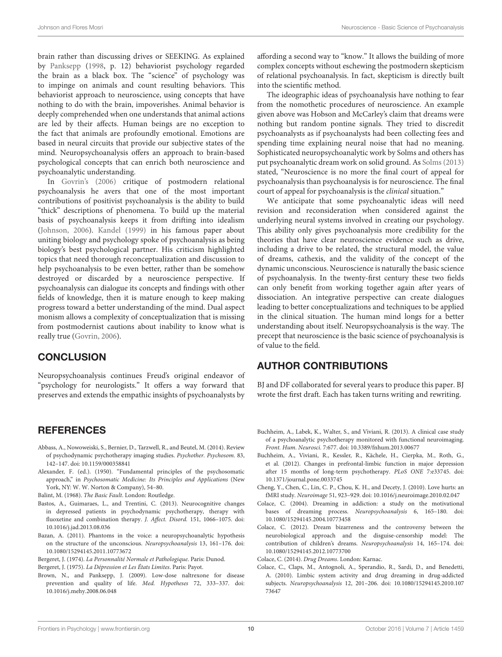brain rather than discussing drives or SEEKING. As explained by [Panksepp](#page-10-5) [\(1998,](#page-10-5) p. 12) behaviorist psychology regarded the brain as a black box. The "science" of psychology was to impinge on animals and count resulting behaviors. This behaviorist approach to neuroscience, using concepts that have nothing to do with the brain, impoverishes. Animal behavior is deeply comprehended when one understands that animal actions are led by their affects. Human beings are no exception to the fact that animals are profoundly emotional. Emotions are based in neural circuits that provide our subjective states of the mind. Neuropsychoanalysis offers an approach to brain-based psychological concepts that can enrich both neuroscience and psychoanalytic understanding.

In [Govrin's \(2006\)](#page-10-50) critique of postmodern relational psychoanalysis he avers that one of the most important contributions of positivist psychoanalysis is the ability to build "thick" descriptions of phenomena. To build up the material basis of psychoanalysis keeps it from drifting into idealism [\(Johnson, 2006\)](#page-10-51). [Kandel \(1999\)](#page-10-0) in his famous paper about uniting biology and psychology spoke of psychoanalysis as being biology's best psychological partner. His criticism highlighted topics that need thorough reconceptualization and discussion to help psychoanalysis to be even better, rather than be somehow destroyed or discarded by a neuroscience perspective. If psychoanalysis can dialogue its concepts and findings with other fields of knowledge, then it is mature enough to keep making progress toward a better understanding of the mind. Dual aspect monism allows a complexity of conceptualization that is missing from postmodernist cautions about inability to know what is really true [\(Govrin, 2006\)](#page-10-50).

#### **CONCLUSION**

Neuropsychoanalysis continues Freud's original endeavor of "psychology for neurologists." It offers a way forward that preserves and extends the empathic insights of psychoanalysts by

#### **REFERENCES**

- <span id="page-9-14"></span>Abbass, A., Nowoweiski, S., Bernier, D., Tarzwell, R., and Beutel, M. (2014). Review of psychodynamic psychotherapy imaging studies. Psychother. Psychosom. 83, 142–147. doi: 10.1159/000358841
- <span id="page-9-10"></span>Alexander, F. (ed.). (1950). "Fundamental principles of the psychosomatic approach," in Psychosomatic Medicine: Its Principles and Applications (New York, NY: W. W. Norton & Company), 54–80.

<span id="page-9-3"></span>Balint, M. (1968). The Basic Fault. London: Routledge.

- <span id="page-9-13"></span>Bastos, A., Guimaraes, L., and Trentini, C. (2013). Neurocognitive changes in depressed patients in psychodynamic psychotherapy, therapy with fluoxetine and combination therapy. J. Affect. Disord. 151, 1066–1075. doi: 10.1016/j.jad.2013.08.036
- <span id="page-9-0"></span>Bazan, A. (2011). Phantoms in the voice: a neuropsychoanalytic hypothesis on the structure of the unconscious. Neuropsychoanalysis 13, 161–176. doi: 10.1080/15294145.2011.10773672

<span id="page-9-8"></span>Bergeret, J. (1974). La Personnalité Normale et Pathologique. Paris: Dunod.

<span id="page-9-9"></span>Bergeret, J. (1975). La Dépression et Les États Limites. Paris: Payot.

<span id="page-9-2"></span>Brown, N., and Panksepp, J. (2009). Low-dose naltrexone for disease prevention and quality of life. Med. Hypotheses 72, 333–337. doi: 10.1016/j.mehy.2008.06.048

affording a second way to "know." It allows the building of more complex concepts without eschewing the postmodern skepticism of relational psychoanalysis. In fact, skepticism is directly built into the scientific method.

The ideographic ideas of psychoanalysis have nothing to fear from the nomothetic procedures of neuroscience. An example given above was Hobson and McCarley's claim that dreams were nothing but random pontine signals. They tried to discredit psychoanalysts as if psychoanalysts had been collecting fees and spending time explaining neural noise that had no meaning. Sophisticated neuropsychoanalytic work by Solms and others has put psychoanalytic dream work on solid ground. As [Solms \(2013\)](#page-10-26) stated, "Neuroscience is no more the final court of appeal for psychoanalysis than psychoanalysis is for neuroscience. The final court of appeal for psychoanalysis is the clinical situation."

We anticipate that some psychoanalytic ideas will need revision and reconsideration when considered against the underlying neural systems involved in creating our psychology. This ability only gives psychoanalysis more credibility for the theories that have clear neuroscience evidence such as drive, including a drive to be related, the structural model, the value of dreams, cathexis, and the validity of the concept of the dynamic unconscious. Neuroscience is naturally the basic science of psychoanalysis. In the twenty-first century these two fields can only benefit from working together again after years of dissociation. An integrative perspective can create dialogues leading to better conceptualizations and techniques to be applied in the clinical situation. The human mind longs for a better understanding about itself. Neuropsychoanalysis is the way. The precept that neuroscience is the basic science of psychoanalysis is of value to the field.

#### AUTHOR CONTRIBUTIONS

BJ and DF collaborated for several years to produce this paper. BJ wrote the first draft. Each has taken turns writing and rewriting.

- <span id="page-9-12"></span>Buchheim, A., Labek, K., Walter, S., and Viviani, R. (2013). A clinical case study of a psychoanalytic psychotherapy monitored with functional neuroimaging. Front. Hum. Neurosci. 7:677. doi: 10.3389/fnhum.2013.00677
- <span id="page-9-11"></span>Buchheim, A., Viviani, R., Kessler, R., Kächele, H., Cierpka, M., Roth, G., et al. (2012). Changes in prefrontal-limbic function in major depression after 15 months of long-term psychotherapy. PLoS ONE 7:e33745. doi: 10.1371/journal.pone.0033745
- <span id="page-9-1"></span>Cheng, Y., Chen, C., Lin, C. P., Chou, K. H., and Decety, J. (2010). Love hurts: an fMRI study. Neuroimage 51, 923–929. doi: 10.1016/j.neuroimage.2010.02.047
- <span id="page-9-5"></span>Colace, C. (2004). Dreaming in addiction: a study on the motivational bases of dreaming process. Neuropsychoanalysis 6, 165–180. doi: 10.1080/15294145.2004.10773458
- <span id="page-9-4"></span>Colace, C. (2012). Dream bizarreness and the controversy between the neurobiological approach and the disguise-censorship model: The contribution of children's dreams. Neuropsychoanalysis 14, 165–174. doi: 10.1080/15294145.2012.10773700

<span id="page-9-6"></span>Colace, C. (2014). Drug Dreams. London: Karnac.

<span id="page-9-7"></span>Colace, C., Claps, M., Antognoli, A., Sperandio, R., Sardi, D., and Benedetti, A. (2010). Limbic system activity and drug dreaming in drug-addicted subjects. Neuropsychoanalysis 12, 201–206. doi: 10.1080/15294145.2010.107 73647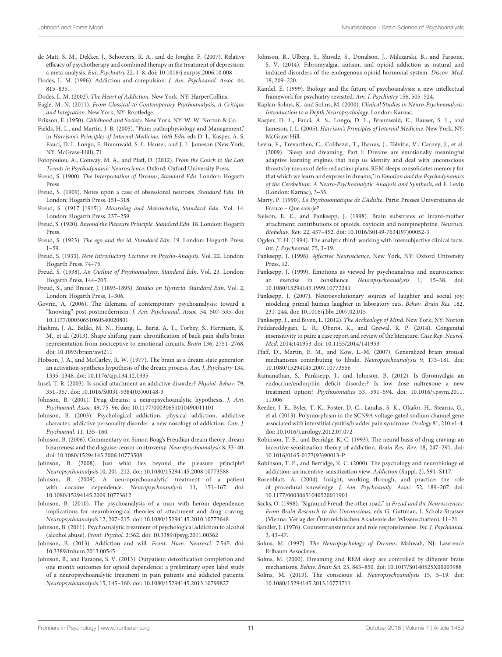- <span id="page-10-25"></span>de Matt, S. M., Dekker, J., Schoevers, R. A., and de Jonghe, F. (2007). Relative efficacy of psychotherapy and combined therapy in the treatment of depression: a meta-analysis. Eur. Psychiatry 22, 1–8. doi: 10.1016/j.eurpsy.2006.10.008
- <span id="page-10-46"></span>Dodes, L. M. (1996). Addiction and compulsion. J. Am. Psychoanal. Assoc. 44, 815–835.
- <span id="page-10-47"></span>Dodes, L. M. (2002). The Heart of Addiction. New York, NY: HarperCollins.
- <span id="page-10-20"></span>Eagle, M. N. (2011). From Classical to Contemporary Psychoanalysis, A Critique and Integration. New York, NY: Routledge.
- <span id="page-10-22"></span>Erikson, E. (1950). Childhood and Society. New York, NY: W. W. Norton & Co.
- <span id="page-10-4"></span>Fields, H. L., and Martin, J. B. (2005). "Pain: pathophysiology and Management," in Harrison's Principles of Internal Medicine, 16th Edn, eds D. L. Kasper, A. S. Fauci, D. L. Longo, E. Braunwald, S. L. Hauser, and J. L. Jameson (New York, NY: McGraw-Hill), 71.
- <span id="page-10-49"></span>Fotopoulou, A., Conway, M. A., and Pfaff, D. (2012). From the Couch to the Lab: Trends in Psychodynamic Neuroscience. Oxford: Oxford University Press.
- <span id="page-10-29"></span>Freud, S. (1900). The Interpretation of Dreams, Standard Edn. London: Hogarth Press.
- <span id="page-10-45"></span>Freud, S. (1909). Notes upon a case of obsessional neurosis. Standard Edn. 10. London: Hogarth Press. 151–318.
- <span id="page-10-44"></span>Freud, S. (1917 [1915]). Mourning and Melancholia, Standard Edn. Vol. 14. London: Hogarth Press. 237–259.
- <span id="page-10-38"></span>Freud, S. (1920). Beyond the Pleasure Principle. Standard Edn. 18. London: Hogarth Press.
- <span id="page-10-31"></span>Freud, S. (1923). The ego and the id. Standard Edn. 19. London: Hogarth Press. 1–59.
- <span id="page-10-18"></span>Freud, S. (1933). New Introductory Lectures on Psycho-Analysis. Vol. 22. London: Hogarth Press. 74–75.
- <span id="page-10-3"></span>Freud, S. (1938). An Outline of Psychoanalysis, Standard Edn. Vol. 23. London: Hogarth Press, 144–205.
- <span id="page-10-2"></span>Freud, S., and Breuer, J. (1893-1895). Studies on Hysteria. Standard Edn. Vol. 2, London: Hogarth Press, 1–306.
- <span id="page-10-50"></span>Govrin, A. (2006). The dilemma of contemporary psychoanalysis: toward a "knowing" post-postmodernism. J. Am. Psychoanal. Assoc. 54, 507–535. doi: 10.1177/00030651060540020801
- <span id="page-10-16"></span>Hashmi, J. A., Baliki, M. N., Huang, L., Baria, A. T., Torbey, S., Hermann, K. M., et al. (2013). Shape shifting pain: chronification of back pain shifts brain representation from nociceptive to emotional circuits. Brain 136, 2751–2768. doi: 10.1093/brain/awt211
- <span id="page-10-27"></span>Hobson, J. A., and McCarley, R. W. (1977). The brain as a dream state generator: an activation-synthesis hypothesis of the dream process. Am. J. Psychiatry 134, 1335–1348. doi: 10.1176/ajp.134.12.1335
- <span id="page-10-37"></span>Insel, T. R. (2003). Is social attachment an addictive disorder? Physiol. Behav. 79, 351–357. doi: 10.1016/S0031-9384(03)00148-3
- <span id="page-10-33"></span>Johnson, B. (2001). Drug dreams: a neuropsychoanalytic hypothesis. J. Am. Psychoanal. Assoc. 49, 75–96. doi: 10.1177/00030651010490011101
- <span id="page-10-34"></span>Johnson, B. (2003). Psychological addiction, physical addiction, addictive character, addictive personality disorder: a new nosology of addiction. Can. J. Psychoanal. 11, 135–160.
- <span id="page-10-51"></span>Johnson, B. (2006). Commentary on Simon Boag's Freudian dream theory, dream bizarreness and the disguise-censor controversy. Neuropsychoanalysis 8, 33–40. doi: 10.1080/15294145.2006.10773508
- <span id="page-10-17"></span>Johnson, B. (2008). Just what lies beyond the pleasure principle? Neuropsychoanalysis 10, 201–212. doi: 10.1080/15294145.2008.10773588
- <span id="page-10-40"></span>Johnson, B. (2009). A 'neuropsychoanalytic' treatment of a patient with cocaine dependence. Neuropsychoanalysis 11, 151–167. doi: 10.1080/15294145.2009.10773612
- <span id="page-10-6"></span>Johnson, B. (2010). The psychoanalysis of a man with heroin dependence; implications for neurobiological theories of attachment and drug craving. Neuropsychoanalysis 12, 207–215. doi: 10.1080/15294145.2010.10773648
- <span id="page-10-35"></span>Johnson, B. (2011). Psychoanalytic treatment of psychological addiction to alcohol (alcohol abuse). Front. Psychol. 2:362. doi: 10.3389/fpsyg.2011.00362
- <span id="page-10-41"></span>Johnson, B. (2013). Addiction and will. Front. Hum. Neurosci. 7:545. doi: 10.3389/fnhum.2013.00545
- <span id="page-10-14"></span>Johnson, B., and Faraone, S. V. (2013). Outpatient detoxification completion and one month outcomes for opioid dependence: a preliminary open label study of a neuropsychoanalytic treatment in pain patients and addicted patients. Neuropsychoanalysis 15, 145–160. doi: 10.1080/15294145.2013.10799827
- <span id="page-10-12"></span>Johnson, B., Ulberg, S., Shivale, S., Donalson, J., Milczarski, B., and Faraone, S. V. (2014). Fibromyalgia, autism, and opioid addiction as natural and induced disorders of the endogenous opioid hormonal system. Discov. Med. 18, 209–220.
- <span id="page-10-0"></span>Kandel, E. (1999). Biology and the future of psychoanalysis: a new intellectual framework for psychiatry revisited. Am. J. Psychiatry 156, 505–524.
- <span id="page-10-43"></span>Kaplan-Solms, K., and Solms, M. (2000). Clinical Studies in Neuro-Psychoanalysis: Introduction to a Depth Neuropsychology. London: Karnac.
- <span id="page-10-48"></span>Kasper, D. L., Fauci, A. S., Longo, D. L., Braunwald, E., Hauser, S. L., and Jameson, J. L. (2005). Harrison's Principles of Internal Medicine. New York, NY: McGraw-Hill.
- <span id="page-10-32"></span>Levin, F., Trevarthen, C., Colibazzi, T., Ihanus, J., Talvitie, V., Carney, J., et al. (2009). "Sleep and dreaming. Part I: Dreams are emotionally meaningful adaptive learning engines that help us identify and deal with unconscious threats by means of deferred action plans; REM sleeps consolidates memory for that which we learn and express in dreams," in Emotion and the Psychodynamics of the Cerebellum: A Neuro-Psychoanalytic Analysis and Synthesis, ed F. Levin (London: Karnac), 3–35.
- <span id="page-10-15"></span>Marty, P. (1990). La Psychosomatique de L'Adulte. Paris: Presses Universitaires de France – Que sais-je?
- <span id="page-10-10"></span>Nelson, E. E., and Panksepp, J. (1998). Brain substrates of infant-mother attachment: contributions of opioids, oxytocin and norepinephrine. Neurosci. Biobehav. Rev. 22, 437–452. doi: 10.1016/S0149-7634(97)00052-3
- <span id="page-10-24"></span>Ogden, T. H. (1994). The analytic third: working with intersubjective clinical facts. Int. J. Psychoanal. 75, 3–19.
- <span id="page-10-5"></span>Panksepp, J. (1998). Affective Neuroscience. New York, NY: Oxford University Press, 12.
- <span id="page-10-36"></span>Panksepp, J. (1999). Emotions as viewed by psychoanalysis and neuroscience: an exercise in consilience. Neuropsychoanalysis 1, 15–38. doi: 10.1080/15294145.1999.10773241
- <span id="page-10-21"></span>Panksepp, J. (2007). Neuroevolutionary sources of laughter and social joy: modeling primal human laughter in laboratory rats. Behav. Brain Res. 182, 231–244. doi: 10.1016/j.bbr.2007.02.015
- <span id="page-10-11"></span>Panksepp, J., and Biven, L. (2012). The Archeology of Mind. New York, NY: Norton
- <span id="page-10-8"></span>Peddareddygari, L. R., Oberoi, K., and Grewal, R. P. (2014). Congenital insensitivity to pain: a case report and review of the literature. Case Rep. Neurol. Med. 2014:141953. doi: 10.1155/2014/141953
- <span id="page-10-19"></span>Pfaff, D., Martin, E. M., and Kow, L.-M. (2007). Generalized brain arousal mechanisms contributing to libido. Neuropsychoanalysis 9, 173–181. doi: 10.1080/15294145.2007.10773556
- <span id="page-10-13"></span>Ramanathan, S., Panksepp, J., and Johnson, B. (2012). Is fibromyalgia an endocrine/endorphin deficit disorder? Is low dose naltrexone a new treatment option? Psychosomatics 53, 591–594. doi: 10.1016/j.psym.2011. 11.006
- <span id="page-10-9"></span>Reeder, J. E., Byler, T. K., Foster, D. C., Landas, S. K., Okafor, H., Stearns, G., et al. (2013). Polymorphism in the SCN9A voltage-gated sodium channel gene associated with interstitial cystitis/bladder pain syndrome. Urology 81, 210.e1-4. doi: 10.1016/j.urology.2012.07.072
- <span id="page-10-23"></span>Robinson, T. E., and Berridge, K. C. (1993). The neural basis of drug craving: an incentive-sensitization theory of addiction. Brain Res. Rev. 18, 247–291. doi: 10.1016/0165-0173(93)90013-P
- <span id="page-10-39"></span>Robinson, T. E., and Berridge, K. C. (2000). The psychology and neurobiology of addiction: an incentive-sensitization view. Addiction (Suppl. 2), S91–S117.
- <span id="page-10-42"></span>Rosenblatt, A. (2004). Insight, working through, and practice: the role of procedural knowledge. J. Am. Psychoanaly. Assoc. 52, 189–207. doi: 10.1177/00030651040520011901
- <span id="page-10-1"></span>Sacks, O. (1998). "Sigmund Freud: the other road," in Freud and the Neurosciences: From Brain Research to the Unconscious, eds G. Guttman, I. Scholz-Strasser (Vienna: Verlag der Österreichischen Akademie der Wissenschaften), 11–21.
- <span id="page-10-7"></span>Sandler, J. (1976). Countertransference and role responsiveness. Int. J. Psychoanal. 3, 43–47.
- <span id="page-10-28"></span>Solms, M. (1997). The Neuropsychology of Dreams. Mahwah, NJ: Lawrence Erlbaum Associates
- <span id="page-10-30"></span>Solms, M. (2000). Dreaming and REM sleep are controlled by different brain mechanisms. Behav. Brain Sci. 23, 843–850. doi: 10.1017/S0140525X00003988
- <span id="page-10-26"></span>Solms, M. (2013). The conscious id. Neuropsychoanalysis 15, 5–19. doi: 10.1080/15294145.2013.10773711